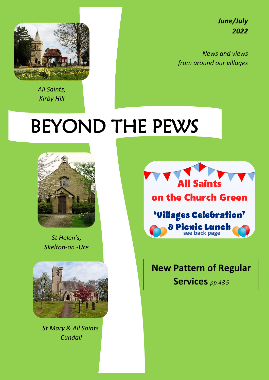*June/July 2022*



*All Saints, Kirby Hill*

*News and views from around our villages*

# BEYOND THE PEWS



*St Helen's, Skelton-on -Ure*



*Church, Cundall St Mary & All Saints Cundall*



## **New Pattern of Regular**

**Services** *pp 4&5*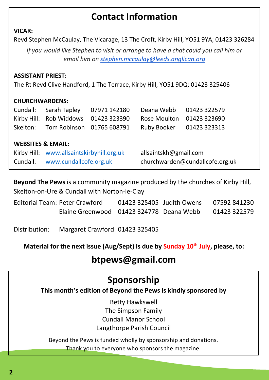## **Contact Information**

#### **VICAR:**

Revd Stephen McCaulay, The Vicarage, 13 The Croft, Kirby Hill, YO51 9YA; 01423 326284

*If you would like Stephen to visit or arrange to have a chat could you call him or email him on [stephen.mccaulay@leeds.anglican.org](mailto:stephen.mccaulay@leeds.anglican.org)*

#### **ASSISTANT PRIEST:**

The Rt Revd Clive Handford, 1 The Terrace, Kirby Hill, YO51 9DQ; 01423 325406

#### **CHURCHWARDENS:**

|                              | Cundall: Sarah Tapley 07971 142180                               | Deana Webb 01423 322579 |  |  |
|------------------------------|------------------------------------------------------------------|-------------------------|--|--|
|                              | Kirby Hill: Rob Widdows 01423 323390   Rose Moulton 01423 323690 |                         |  |  |
|                              | Skelton: Tom Robinson 01765 608791 Ruby Booker 01423 323313      |                         |  |  |
|                              |                                                                  |                         |  |  |
| <b>INIEDCITEC O. ERAAII.</b> |                                                                  |                         |  |  |

#### **WEBSITES & EMAIL:**

|          | Kirby Hill: www.allsaintskirbyhill.org.uk | allsaintskh@gmail.com           |
|----------|-------------------------------------------|---------------------------------|
| Cundall: | www.cundallcofe.org.uk                    | churchwarden@cundallcofe.org.uk |

**Beyond The Pews** is a community magazine produced by the churches of Kirby Hill, Skelton-on-Ure & Cundall with Norton-le-Clay

| Editorial Team: Peter Crawford           | 01423 325405 Judith Owens | 07592 841230 |
|------------------------------------------|---------------------------|--------------|
| Elaine Greenwood 01423 324778 Deana Webb |                           | 01423 322579 |

Distribution: Margaret Crawford 01423 325405

**Material for the next issue (Aug/Sept) is due by Sunday 10th July, please, to:**

## **btpews@gmail.com**

## **Sponsorship**

**This month's edition of Beyond the Pews is kindly sponsored by**

Betty Hawkswell The Simpson Family Cundall Manor School Langthorpe Parish Council

Beyond the Pews is funded wholly by sponsorship and donations. Thank you to everyone who sponsors the magazine.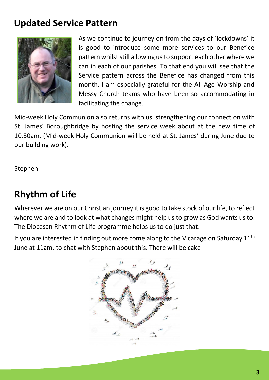## **Updated Service Pattern**



As we continue to journey on from the days of 'lockdowns' it is good to introduce some more services to our Benefice pattern whilst still allowing us to support each other where we can in each of our parishes. To that end you will see that the Service pattern across the Benefice has changed from this month. I am especially grateful for the All Age Worship and Messy Church teams who have been so accommodating in facilitating the change.

Mid-week Holy Communion also returns with us, strengthening our connection with St. James' Boroughbridge by hosting the service week about at the new time of 10.30am. (Mid-week Holy Communion will be held at St. James' during June due to our building work).

Stephen

# **Rhythm of Life**

Wherever we are on our Christian journey it is good to take stock of our life, to reflect where we are and to look at what changes might help us to grow as God wants us to. The Diocesan Rhythm of Life programme helps us to do just that.

If you are interested in finding out more come along to the Vicarage on Saturday  $11<sup>th</sup>$ June at 11am. to chat with Stephen about this. There will be cake!

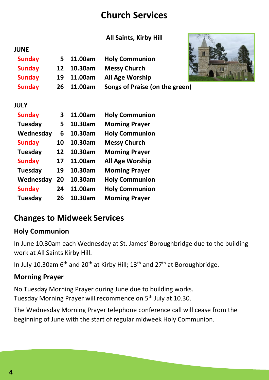## **Church Services**

#### **All Saints, Kirby Hill**

| JUNE          |            |                                |  |
|---------------|------------|--------------------------------|--|
| <b>Sunday</b> | 5 11.00am  | <b>Holy Communion</b>          |  |
| <b>Sunday</b> | 12 10.30am | <b>Messy Church</b>            |  |
| <b>Sunday</b> | 19 11.00am | <b>All Age Worship</b>         |  |
| <b>Sunday</b> | 26 11.00am | Songs of Praise (on the green) |  |



#### **JULY**

| <b>Sunday</b> | 3  | 11.00am | <b>Holy Communion</b> |
|---------------|----|---------|-----------------------|
| Tuesday       | 5  | 10.30am | <b>Morning Prayer</b> |
| Wednesday     | 6  | 10.30am | <b>Holy Communion</b> |
| <b>Sunday</b> | 10 | 10.30am | <b>Messy Church</b>   |
| Tuesday       | 12 | 10.30am | <b>Morning Prayer</b> |
| <b>Sunday</b> | 17 | 11.00am | All Age Worship       |
| Tuesday       | 19 | 10.30am | <b>Morning Prayer</b> |
| Wednesday     | 20 | 10.30am | <b>Holy Communion</b> |
| <b>Sunday</b> | 24 | 11.00am | <b>Holy Communion</b> |
| Tuesday       | 26 | 10.30am | <b>Morning Prayer</b> |

## **Changes to Midweek Services**

#### **Holy Communion**

In June 10.30am each Wednesday at St. James' Boroughbridge due to the building work at All Saints Kirby Hill.

In July 10.30am 6<sup>th</sup> and 20<sup>th</sup> at Kirby Hill; 13<sup>th</sup> and 27<sup>th</sup> at Boroughbridge.

#### **Morning Prayer**

No Tuesday Morning Prayer during June due to building works. Tuesday Morning Prayer will recommence on 5<sup>th</sup> July at 10.30.

The Wednesday Morning Prayer telephone conference call will cease from the beginning of June with the start of regular midweek Holy Communion.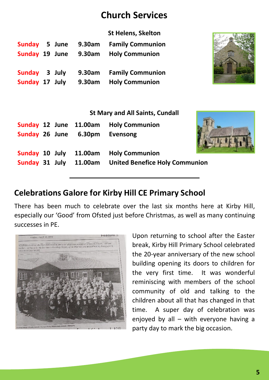## **Church Services**

| <b>Sunday</b><br>Sunday 19 June<br>Sunday 3 July |  | 5 June | 9.30am<br>9.30am<br>9.30am<br>Sunday 17 July 9.30am | <b>St Helens, Skelton</b><br><b>Family Communion</b><br><b>Holy Communion</b><br><b>Family Communion</b><br><b>Holy Communion</b> |  |
|--------------------------------------------------|--|--------|-----------------------------------------------------|-----------------------------------------------------------------------------------------------------------------------------------|--|
| <b>St Mary and All Saints, Cundall</b>           |  |        |                                                     |                                                                                                                                   |  |
|                                                  |  |        | Sunday 12 June 11.00am                              | <b>Holy Communion</b>                                                                                                             |  |
| Sunday 26 June                                   |  |        | 6.30pm                                              | Evensong                                                                                                                          |  |
| Sunday 10 July                                   |  |        | 11.00am                                             | <b>Holy Communion</b>                                                                                                             |  |
| Sunday 31 July                                   |  |        | 11.00am                                             | <b>United Benefice Holy Communion</b>                                                                                             |  |
|                                                  |  |        |                                                     |                                                                                                                                   |  |

## **Celebrations Galore for Kirby Hill CE Primary School**

There has been much to celebrate over the last six months here at Kirby Hill, especially our 'Good' from Ofsted just before Christmas, as well as many continuing successes in PE.



Upon returning to school after the Easter break, Kirby Hill Primary School celebrated the 20-year anniversary of the new school building opening its doors to children for the very first time. It was wonderful reminiscing with members of the school community of old and talking to the children about all that has changed in that time. A super day of celebration was enjoyed by all – with everyone having a party day to mark the big occasion.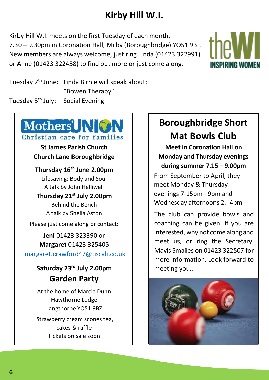# **Kirby Hill W.I.**

Kirby Hill W.I. meets on the first Tuesday of each month, 7.30 – 9.30pm in Coronation Hall, Milby (Boroughbridge) YO51 9BL. New members are always welcome, just ring Linda (01423 322991) or Anne (01423 322458) to find out more or just come along.



Tuesday 7 th June: Linda Birnie will speak about: "Bowen Therapy" Tuesday 5<sup>th</sup> July: Social Evening

# Mothers<sup>2</sup> NON Christian care for families

**St James Parish Church Church Lane Boroughbridge**

**Thursday 16 th June 2.00pm** Lifesaving: Body and Soul

A talk by John Helliwell **Thursday 21st July 2.00pm**

> Behind the Bench A talk by Sheila Aston

Please just come along or contact:

**Jeni** 01423 323390 or **Margaret** 01423 325405 [margaret.crawford47@tiscali.co.uk](mailto:margaret.crawford47@tiscali.co.uk)

### **Saturday 23rd July 2.00pm Garden Party**

At the home of Marcia Dunn Hawthorne Lodge Langthorpe YO51 9BZ Strawberry cream scones tea, cakes & raffle Tickets on sale soon

# **Boroughbridge Short Mat Bowls Club**

**Meet in Coronation Hall on Monday and Thursday evenings during summer 7.15 – 9.00pm**

From September to April, they meet Monday & Thursday evenings 7-15pm - 9pm and Wednesday afternoons 2.- 4pm

The club can provide bowls and coaching can be given. If you are interested, why not come along and meet us, or ring the Secretary, Mavis Smailes on 01423 322507 for more information. Look forward to meeting you...



**6**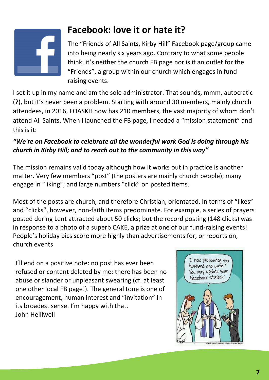

# **Facebook: love it or hate it?**

The "Friends of All Saints, Kirby Hill" Facebook page/group came into being nearly six years ago. Contrary to what some people think, it's neither the church FB page nor is it an outlet for the "Friends", a group within our church which engages in fund raising events.

I set it up in my name and am the sole administrator. That sounds, mmm, autocratic (?), but it's never been a problem. Starting with around 30 members, mainly church attendees, in 2016, FOASKH now has 210 members, the vast majority of whom don't attend All Saints. When I launched the FB page, I needed a "mission statement" and this is it:

#### *"We're on Facebook to celebrate all the wonderful work God is doing through his church in Kirby Hill; and to reach out to the community in this way"*

The mission remains valid today although how it works out in practice is another matter. Very few members "post" (the posters are mainly church people); many engage in "liking"; and large numbers "click" on posted items.

Most of the posts are church, and therefore Christian, orientated. In terms of "likes" and "clicks", however, non-faith items predominate. For example, a series of prayers posted during Lent attracted about 50 clicks; but the record posting (148 clicks) was in response to a photo of a superb CAKE, a prize at one of our fund-raising events! People's holiday pics score more highly than advertisements for, or reports on, church events

I'll end on a positive note: no post has ever been refused or content deleted by me; there has been no abuse or slander or unpleasant swearing (cf. at least one other local FB page!). The general tone is one of encouragement, human interest and "invitation" in its broadest sense. I'm happy with that. John Helliwell